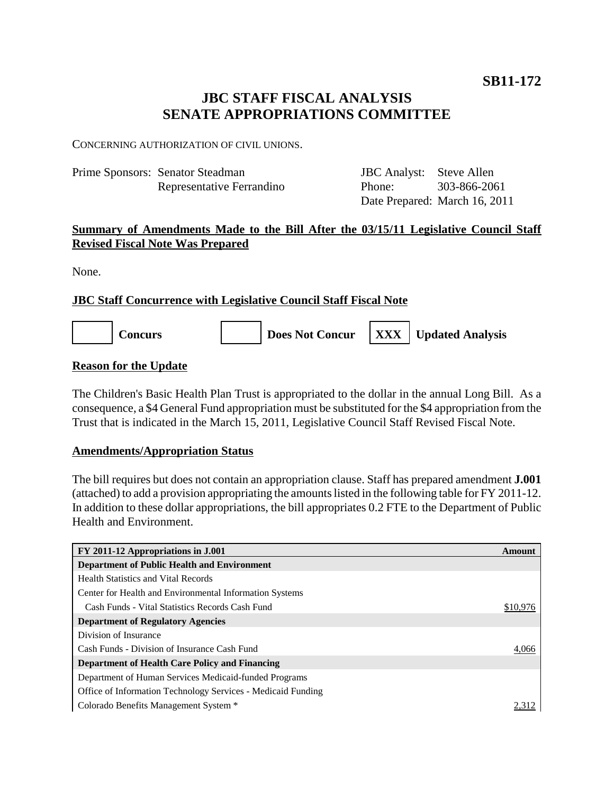# **JBC STAFF FISCAL ANALYSIS SENATE APPROPRIATIONS COMMITTEE**

CONCERNING AUTHORIZATION OF CIVIL UNIONS.

| Prime Sponsors: Senator Steadman | <b>JBC</b> Analyst: Steve Allen |                               |
|----------------------------------|---------------------------------|-------------------------------|
| Representative Ferrandino        | Phone: 303-866-2061             |                               |
|                                  |                                 | Date Prepared: March 16, 2011 |

# **Summary of Amendments Made to the Bill After the 03/15/11 Legislative Council Staff Revised Fiscal Note Was Prepared**

None.

## **JBC Staff Concurrence with Legislative Council Staff Fiscal Note**



## **Reason for the Update**

The Children's Basic Health Plan Trust is appropriated to the dollar in the annual Long Bill. As a consequence, a \$4 General Fund appropriation must be substituted for the \$4 appropriation from the Trust that is indicated in the March 15, 2011, Legislative Council Staff Revised Fiscal Note.

### **Amendments/Appropriation Status**

The bill requires but does not contain an appropriation clause. Staff has prepared amendment **J.001** (attached) to add a provision appropriating the amounts listed in the following table for FY 2011-12. In addition to these dollar appropriations, the bill appropriates 0.2 FTE to the Department of Public Health and Environment.

| FY 2011-12 Appropriations in J.001                           | Amount   |
|--------------------------------------------------------------|----------|
| <b>Department of Public Health and Environment</b>           |          |
| <b>Health Statistics and Vital Records</b>                   |          |
| Center for Health and Environmental Information Systems      |          |
| Cash Funds - Vital Statistics Records Cash Fund              | \$10,976 |
| <b>Department of Regulatory Agencies</b>                     |          |
| Division of Insurance                                        |          |
| Cash Funds - Division of Insurance Cash Fund                 | 4.066    |
| <b>Department of Health Care Policy and Financing</b>        |          |
| Department of Human Services Medicaid-funded Programs        |          |
| Office of Information Technology Services - Medicaid Funding |          |
| Colorado Benefits Management System *                        |          |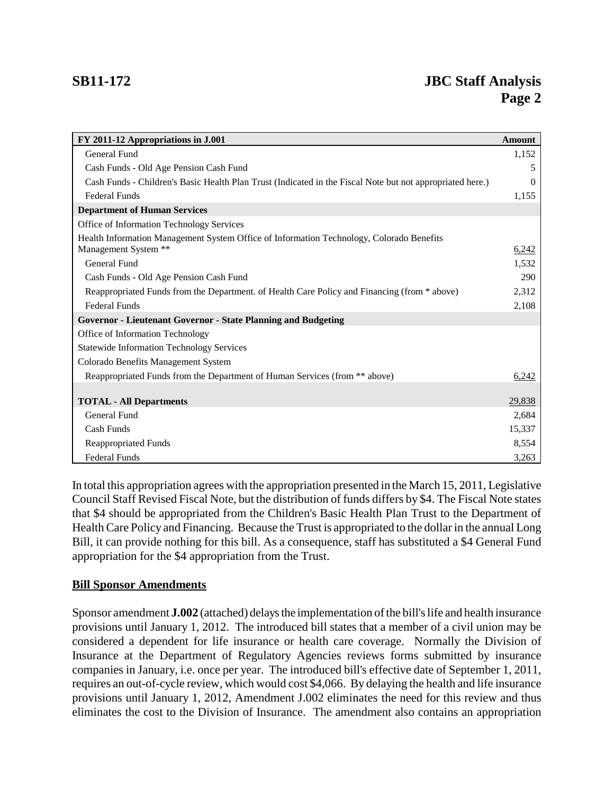| FY 2011-12 Appropriations in J.001                                                                        | <b>Amount</b> |
|-----------------------------------------------------------------------------------------------------------|---------------|
| General Fund                                                                                              | 1,152         |
| Cash Funds - Old Age Pension Cash Fund                                                                    | 5             |
| Cash Funds - Children's Basic Health Plan Trust (Indicated in the Fiscal Note but not appropriated here.) | 0             |
| <b>Federal Funds</b>                                                                                      | 1,155         |
| <b>Department of Human Services</b>                                                                       |               |
| Office of Information Technology Services                                                                 |               |
| Health Information Management System Office of Information Technology, Colorado Benefits                  |               |
| Management System **                                                                                      | 6,242         |
| General Fund                                                                                              | 1,532         |
| Cash Funds - Old Age Pension Cash Fund                                                                    | 290           |
| Reappropriated Funds from the Department. of Health Care Policy and Financing (from * above)              | 2,312         |
| <b>Federal Funds</b>                                                                                      | 2,108         |
| <b>Governor - Lieutenant Governor - State Planning and Budgeting</b>                                      |               |
| Office of Information Technology                                                                          |               |
| <b>Statewide Information Technology Services</b>                                                          |               |
| Colorado Benefits Management System                                                                       |               |
| Reappropriated Funds from the Department of Human Services (from ** above)                                | 6,242         |
|                                                                                                           |               |
| <b>TOTAL - All Departments</b>                                                                            | 29,838        |
| General Fund                                                                                              | 2,684         |
| Cash Funds                                                                                                | 15,337        |
| <b>Reappropriated Funds</b>                                                                               | 8,554         |
| <b>Federal Funds</b>                                                                                      | 3,263         |

In total this appropriation agrees with the appropriation presented in the March 15, 2011, Legislative Council Staff Revised Fiscal Note, but the distribution of funds differs by \$4. The Fiscal Note states that \$4 should be appropriated from the Children's Basic Health Plan Trust to the Department of Health Care Policy and Financing. Because the Trust is appropriated to the dollar in the annual Long Bill, it can provide nothing for this bill. As a consequence, staff has substituted a \$4 General Fund appropriation for the \$4 appropriation from the Trust.

### **Bill Sponsor Amendments**

Sponsor amendment **J.002** (attached) delays the implementation of the bill's life and health insurance provisions until January 1, 2012. The introduced bill states that a member of a civil union may be considered a dependent for life insurance or health care coverage. Normally the Division of Insurance at the Department of Regulatory Agencies reviews forms submitted by insurance companies in January, i.e. once per year. The introduced bill's effective date of September 1, 2011, requires an out-of-cycle review, which would cost \$4,066. By delaying the health and life insurance provisions until January 1, 2012, Amendment J.002 eliminates the need for this review and thus eliminates the cost to the Division of Insurance. The amendment also contains an appropriation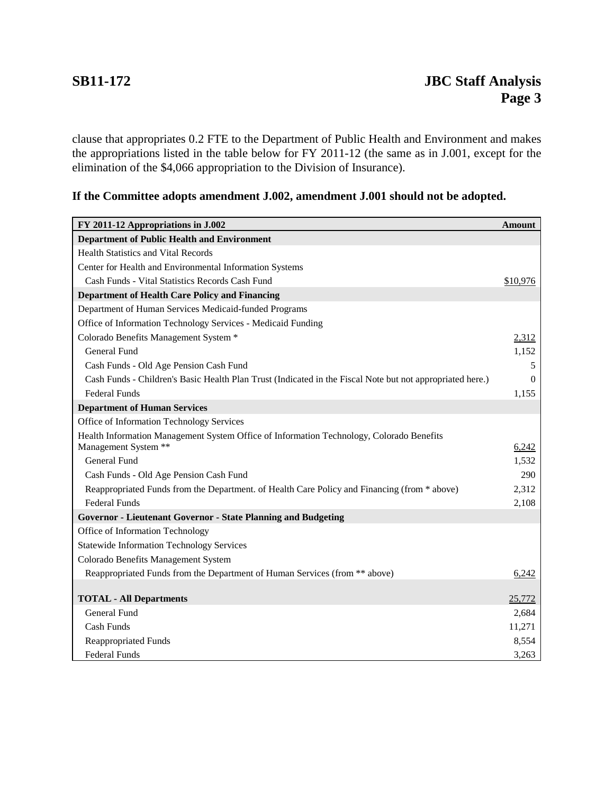clause that appropriates 0.2 FTE to the Department of Public Health and Environment and makes the appropriations listed in the table below for FY 2011-12 (the same as in J.001, except for the elimination of the \$4,066 appropriation to the Division of Insurance).

# **If the Committee adopts amendment J.002, amendment J.001 should not be adopted.**

| FY 2011-12 Appropriations in J.002                                                                        |          |  |
|-----------------------------------------------------------------------------------------------------------|----------|--|
| <b>Department of Public Health and Environment</b>                                                        |          |  |
| <b>Health Statistics and Vital Records</b>                                                                |          |  |
| Center for Health and Environmental Information Systems                                                   |          |  |
| Cash Funds - Vital Statistics Records Cash Fund                                                           | \$10,976 |  |
| <b>Department of Health Care Policy and Financing</b>                                                     |          |  |
| Department of Human Services Medicaid-funded Programs                                                     |          |  |
| Office of Information Technology Services - Medicaid Funding                                              |          |  |
| Colorado Benefits Management System *                                                                     | 2,312    |  |
| <b>General Fund</b>                                                                                       | 1,152    |  |
| Cash Funds - Old Age Pension Cash Fund                                                                    | 5        |  |
| Cash Funds - Children's Basic Health Plan Trust (Indicated in the Fiscal Note but not appropriated here.) | $\Omega$ |  |
| <b>Federal Funds</b>                                                                                      | 1,155    |  |
| <b>Department of Human Services</b>                                                                       |          |  |
| Office of Information Technology Services                                                                 |          |  |
| Health Information Management System Office of Information Technology, Colorado Benefits                  |          |  |
| Management System **                                                                                      | 6,242    |  |
| General Fund                                                                                              | 1,532    |  |
| Cash Funds - Old Age Pension Cash Fund                                                                    | 290      |  |
| Reappropriated Funds from the Department. of Health Care Policy and Financing (from * above)              | 2,312    |  |
| <b>Federal Funds</b>                                                                                      | 2,108    |  |
| <b>Governor - Lieutenant Governor - State Planning and Budgeting</b>                                      |          |  |
| Office of Information Technology                                                                          |          |  |
| <b>Statewide Information Technology Services</b>                                                          |          |  |
| Colorado Benefits Management System                                                                       |          |  |
| Reappropriated Funds from the Department of Human Services (from ** above)                                | 6,242    |  |
|                                                                                                           |          |  |
| <b>TOTAL - All Departments</b>                                                                            | 25,772   |  |
| General Fund                                                                                              | 2,684    |  |
| Cash Funds                                                                                                | 11,271   |  |
| <b>Reappropriated Funds</b>                                                                               | 8,554    |  |
| <b>Federal Funds</b>                                                                                      | 3,263    |  |